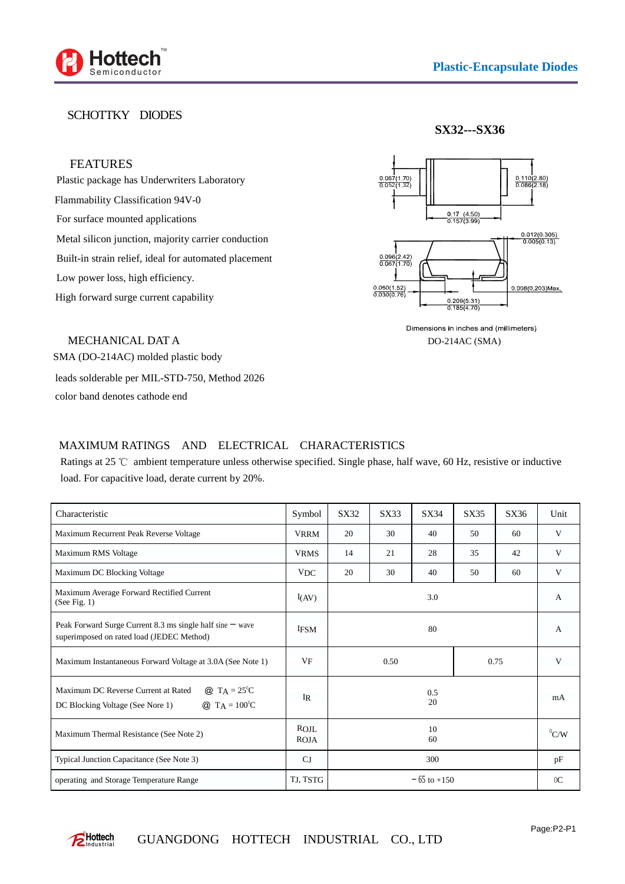

## SCHOTTKY DIODES

**SX32---SX36**

## FEATURES

Plastic package has Underwriters Laboratory Flammability Classification 94V-0 For surface mounted applications Metal silicon junction, majority carrier conduction Built-in strain relief, ideal for automated placement Low power loss, high efficiency. High forward surge current capability



Dimensions in inches and (millimeters) DO-214AC (SMA)

MECHANICAL DAT A

SMA (DO-214AC) molded plastic body leads solderable per MIL-STD-750, Method 2026

color band denotes cathode end

## MAXIMUM RATINGS AND ELECTRICAL CHARACTERISTICS

Ratings at 25  $\degree$ C ambient temperature unless otherwise specified. Single phase, half wave, 60 Hz, resistive or inductive load. For capacitive load, derate current by 20%.

| Characteristic                                                                                                                                 | Symbol       | SX32            | SX33 | SX34 | SX35 | SX36 | Unit           |
|------------------------------------------------------------------------------------------------------------------------------------------------|--------------|-----------------|------|------|------|------|----------------|
| Maximum Recurrent Peak Reverse Voltage                                                                                                         | <b>VRRM</b>  | 20              | 30   | 40   | 50   | 60   | V              |
| Maximum RMS Voltage                                                                                                                            | <b>VRMS</b>  | 14              | 21   | 28   | 35   | 42   | V              |
| Maximum DC Blocking Voltage                                                                                                                    | VDC          | 20              | 30   | 40   | 50   | 60   | V              |
| Maximum Average Forward Rectified Current<br>(See Fig. 1)                                                                                      | I(AV)        | 3.0             |      |      |      |      | A              |
| Peak Forward Surge Current 8.3 ms single half sine $-$ wave<br>superimposed on rated load (JEDEC Method)                                       | <b>IFSM</b>  | 80              |      |      |      |      | A              |
| Maximum Instantaneous Forward Voltage at 3.0A (See Note 1)                                                                                     | $V_{\rm F}$  | 0.50<br>0.75    |      |      |      | V    |                |
| <b>@</b> T <sub>A</sub> = $25^{\circ}C$<br>Maximum DC Reverse Current at Rated<br>$Q_{T} T_{A} = 100^{0}C$<br>DC Blocking Voltage (See Nore 1) | $_{\rm IR}$  | 0.5<br>20       |      |      |      |      | mA             |
| Maximum Thermal Resistance (See Note 2)                                                                                                        | ROJL<br>ROJA | 10<br>60        |      |      |      |      | ${}^{0}C/W$    |
| Typical Junction Capacitance (See Note 3)                                                                                                      | $C_J$        | 300             |      |      |      |      | pF             |
| operating and Storage Temperature Range                                                                                                        | TJ, TSTG     | $-65$ to $+150$ |      |      |      |      | 0 <sup>C</sup> |